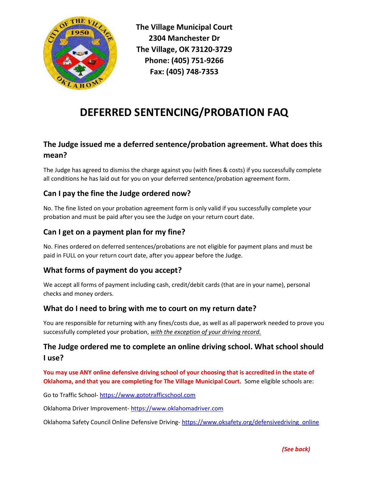

The Village Municipal Court 2304 Manchester Dr The Village, OK 73120-3729 Phone: (405) 751-9266 Fax: (405) 748-7353

# DEFERRED SENTENCING/PROBATION FAQ

# The Judge issued me a deferred sentence/probation agreement. What does this mean?

The Judge has agreed to dismiss the charge against you (with fines & costs) if you successfully complete all conditions he has laid out for you on your deferred sentence/probation agreement form.

# Can I pay the fine the Judge ordered now?

No. The fine listed on your probation agreement form is only valid if you successfully complete your probation and must be paid after you see the Judge on your return court date.

## Can I get on a payment plan for my fine?

No. Fines ordered on deferred sentences/probations are not eligible for payment plans and must be paid in FULL on your return court date, after you appear before the Judge.

## What forms of payment do you accept?

We accept all forms of payment including cash, credit/debit cards (that are in your name), personal checks and money orders.

#### What do I need to bring with me to court on my return date?

You are responsible for returning with any fines/costs due, as well as all paperwork needed to prove you successfully completed your probation, with the exception of your driving record.

### The Judge ordered me to complete an online driving school. What school should I use?

You may use ANY online defensive driving school of your choosing that is accredited in the state of Oklahoma, and that you are completing for The Village Municipal Court. Some eligible schools are:

Go to Traffic School- https://www.gototrafficschool.com

Oklahoma Driver Improvement- https://www.oklahomadriver.com

Oklahoma Safety Council Online Defensive Driving-https://www.oksafety.org/defensivedriving\_online